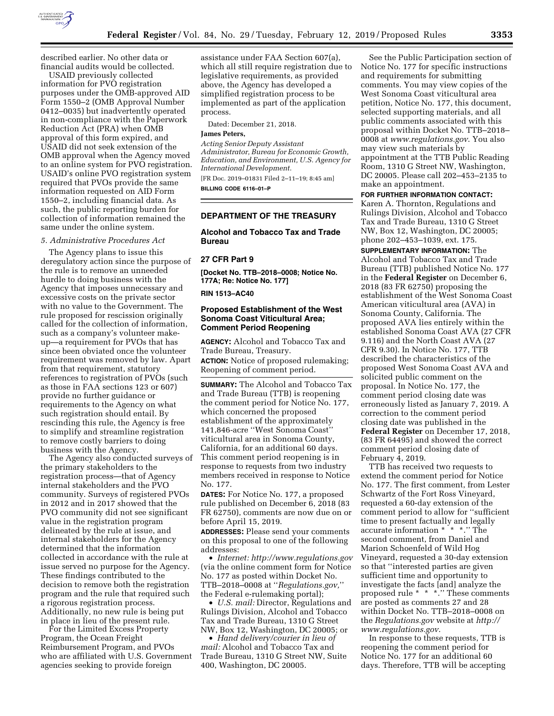

described earlier. No other data or financial audits would be collected.

USAID previously collected information for PVO registration purposes under the OMB-approved AID Form 1550–2 (OMB Approval Number 0412–0035) but inadvertently operated in non-compliance with the Paperwork Reduction Act (PRA) when OMB approval of this form expired, and USAID did not seek extension of the OMB approval when the Agency moved to an online system for PVO registration. USAID's online PVO registration system required that PVOs provide the same information requested on AID Form 1550–2, including financial data. As such, the public reporting burden for collection of information remained the same under the online system.

## *5. Administrative Procedures Act*

The Agency plans to issue this deregulatory action since the purpose of the rule is to remove an unneeded hurdle to doing business with the Agency that imposes unnecessary and excessive costs on the private sector with no value to the Government. The rule proposed for rescission originally called for the collection of information, such as a company's volunteer makeup—a requirement for PVOs that has since been obviated once the volunteer requirement was removed by law. Apart from that requirement, statutory references to registration of PVOs (such as those in FAA sections 123 or 607) provide no further guidance or requirements to the Agency on what such registration should entail. By rescinding this rule, the Agency is free to simplify and streamline registration to remove costly barriers to doing business with the Agency.

The Agency also conducted surveys of the primary stakeholders to the registration process—that of Agency internal stakeholders and the PVO community. Surveys of registered PVOs in 2012 and in 2017 showed that the PVO community did not see significant value in the registration program delineated by the rule at issue, and internal stakeholders for the Agency determined that the information collected in accordance with the rule at issue served no purpose for the Agency. These findings contributed to the decision to remove both the registration program and the rule that required such a rigorous registration process. Additionally, no new rule is being put in place in lieu of the present rule.

For the Limited Excess Property Program, the Ocean Freight Reimbursement Program, and PVOs who are affiliated with U.S. Government agencies seeking to provide foreign

assistance under FAA Section 607(a), which all still require registration due to legislative requirements, as provided above, the Agency has developed a simplified registration process to be implemented as part of the application process.

Dated: December 21, 2018.

## **James Peters,**

*Acting Senior Deputy Assistant Administrator, Bureau for Economic Growth, Education, and Environment, U.S. Agency for International Development.* 

[FR Doc. 2019–01831 Filed 2–11–19; 8:45 am] **BILLING CODE 6116–01–P** 

### **DEPARTMENT OF THE TREASURY**

## **Alcohol and Tobacco Tax and Trade Bureau**

#### **27 CFR Part 9**

**[Docket No. TTB–2018–0008; Notice No. 177A; Re: Notice No. 177]** 

### **RIN 1513–AC40**

## **Proposed Establishment of the West Sonoma Coast Viticultural Area; Comment Period Reopening**

**AGENCY:** Alcohol and Tobacco Tax and Trade Bureau, Treasury.

**ACTION:** Notice of proposed rulemaking; Reopening of comment period.

**SUMMARY:** The Alcohol and Tobacco Tax and Trade Bureau (TTB) is reopening the comment period for Notice No. 177, which concerned the proposed establishment of the approximately 141,846-acre ''West Sonoma Coast'' viticultural area in Sonoma County, California, for an additional 60 days. This comment period reopening is in response to requests from two industry members received in response to Notice No. 177.

**DATES:** For Notice No. 177, a proposed rule published on December 6, 2018 (83 FR 62750), comments are now due on or before April 15, 2019.

**ADDRESSES:** Please send your comments on this proposal to one of the following addresses:

• *Internet: <http://www.regulations.gov>* (via the online comment form for Notice No. 177 as posted within Docket No. TTB–2018–0008 at ''*Regulations.gov,*'' the Federal e-rulemaking portal);

• *U.S. mail:* Director, Regulations and Rulings Division, Alcohol and Tobacco Tax and Trade Bureau, 1310 G Street NW, Box 12, Washington, DC 20005; or

• *Hand delivery/courier in lieu of mail:* Alcohol and Tobacco Tax and Trade Bureau, 1310 G Street NW, Suite 400, Washington, DC 20005.

See the Public Participation section of Notice No. 177 for specific instructions and requirements for submitting comments. You may view copies of the West Sonoma Coast viticultural area petition, Notice No. 177, this document, selected supporting materials, and all public comments associated with this proposal within Docket No. TTB–2018– 0008 at *[www.regulations.gov](http://www.regulations.gov)*. You also may view such materials by appointment at the TTB Public Reading Room, 1310 G Street NW, Washington, DC 20005. Please call 202–453–2135 to make an appointment.

### **FOR FURTHER INFORMATION CONTACT:**

Karen A. Thornton, Regulations and Rulings Division, Alcohol and Tobacco Tax and Trade Bureau, 1310 G Street NW, Box 12, Washington, DC 20005; phone 202–453–1039, ext. 175.

**SUPPLEMENTARY INFORMATION:** The

Alcohol and Tobacco Tax and Trade Bureau (TTB) published Notice No. 177 in the **Federal Register** on December 6, 2018 (83 FR 62750) proposing the establishment of the West Sonoma Coast American viticultural area (AVA) in Sonoma County, California. The proposed AVA lies entirely within the established Sonoma Coast AVA (27 CFR 9.116) and the North Coast AVA (27 CFR 9.30). In Notice No. 177, TTB described the characteristics of the proposed West Sonoma Coast AVA and solicited public comment on the proposal. In Notice No. 177, the comment period closing date was erroneously listed as January 7, 2019. A correction to the comment period closing date was published in the **Federal Register** on December 17, 2018, (83 FR 64495) and showed the correct comment period closing date of February 4, 2019.

TTB has received two requests to extend the comment period for Notice No. 177. The first comment, from Lester Schwartz of the Fort Ross Vineyard, requested a 60-day extension of the comment period to allow for ''sufficient time to present factually and legally accurate information \* \* \*.'' The second comment, from Daniel and Marion Schoenfeld of Wild Hog Vineyard, requested a 30-day extension so that ''interested parties are given sufficient time and opportunity to investigate the facts [and] analyze the proposed rule \* \* \*.'' These comments are posted as comments 27 and 28 within Docket No. TTB–2018–0008 on the *Regulations.gov* website at *[http://](http://www.regulations.gov) [www.regulations.gov](http://www.regulations.gov)*.

In response to these requests, TTB is reopening the comment period for Notice No. 177 for an additional 60 days. Therefore, TTB will be accepting